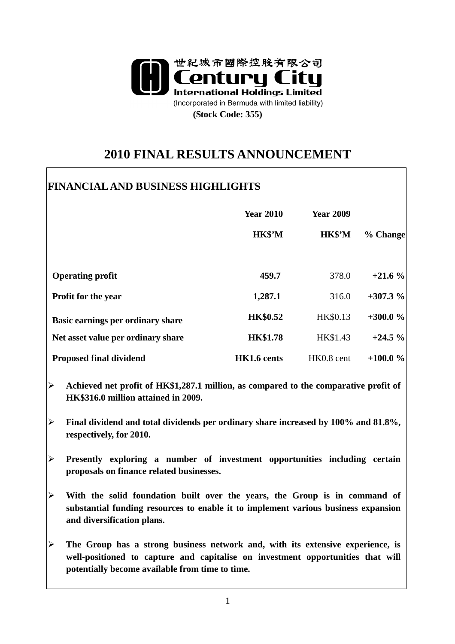

# **2010 FINAL RESULTS ANNOUNCEMENT**

 $\overline{\phantom{a}}$ 

| <b>Year 2010</b><br>HK\$'M | <b>Year 2009</b><br>HK\$'M                                   |                                                                                                                            |
|----------------------------|--------------------------------------------------------------|----------------------------------------------------------------------------------------------------------------------------|
|                            |                                                              | % Change                                                                                                                   |
|                            |                                                              |                                                                                                                            |
| 459.7                      | 378.0                                                        | $+21.6%$                                                                                                                   |
|                            | 316.0                                                        | $+307.3%$                                                                                                                  |
|                            |                                                              | $+300.0%$                                                                                                                  |
|                            |                                                              | $+24.5%$                                                                                                                   |
|                            |                                                              | $+100.0%$                                                                                                                  |
|                            | 1,287.1<br><b>HK\$0.52</b><br><b>HK\$1.78</b><br>HK1.6 cents | HK\$0.13<br>HK\$1.43<br>HK0.8 cent<br>Achieved net profit of HK\$1,287.1 million, as compared to the comparative profit of |

- **Final dividend and total dividends per ordinary share increased by 100% and 81.8%, respectively, for 2010.**
- **Presently exploring a number of investment opportunities including certain proposals on finance related businesses.**
- **With the solid foundation built over the years, the Group is in command of substantial funding resources to enable it to implement various business expansion and diversification plans.**
- **The Group has a strong business network and, with its extensive experience, is well-positioned to capture and capitalise on investment opportunities that will potentially become available from time to time.**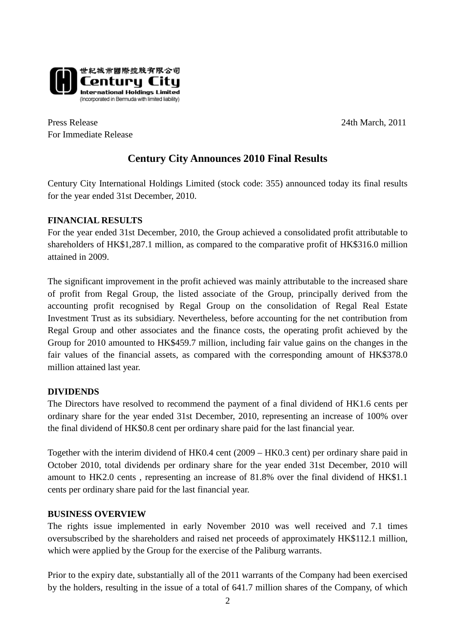

Press Release 24th March, 2011 For Immediate Release

## **Century City Announces 2010 Final Results**

Century City International Holdings Limited (stock code: 355) announced today its final results for the year ended 31st December, 2010.

### **FINANCIAL RESULTS**

For the year ended 31st December, 2010, the Group achieved a consolidated profit attributable to shareholders of HK\$1,287.1 million, as compared to the comparative profit of HK\$316.0 million attained in 2009.

The significant improvement in the profit achieved was mainly attributable to the increased share of profit from Regal Group, the listed associate of the Group, principally derived from the accounting profit recognised by Regal Group on the consolidation of Regal Real Estate Investment Trust as its subsidiary. Nevertheless, before accounting for the net contribution from Regal Group and other associates and the finance costs, the operating profit achieved by the Group for 2010 amounted to HK\$459.7 million, including fair value gains on the changes in the fair values of the financial assets, as compared with the corresponding amount of HK\$378.0 million attained last year.

#### **DIVIDENDS**

The Directors have resolved to recommend the payment of a final dividend of HK1.6 cents per ordinary share for the year ended 31st December, 2010, representing an increase of 100% over the final dividend of HK\$0.8 cent per ordinary share paid for the last financial year.

Together with the interim dividend of HK0.4 cent (2009 – HK0.3 cent) per ordinary share paid in October 2010, total dividends per ordinary share for the year ended 31st December, 2010 will amount to HK2.0 cents , representing an increase of 81.8% over the final dividend of HK\$1.1 cents per ordinary share paid for the last financial year.

#### **BUSINESS OVERVIEW**

The rights issue implemented in early November 2010 was well received and 7.1 times oversubscribed by the shareholders and raised net proceeds of approximately HK\$112.1 million, which were applied by the Group for the exercise of the Paliburg warrants.

Prior to the expiry date, substantially all of the 2011 warrants of the Company had been exercised by the holders, resulting in the issue of a total of 641.7 million shares of the Company, of which